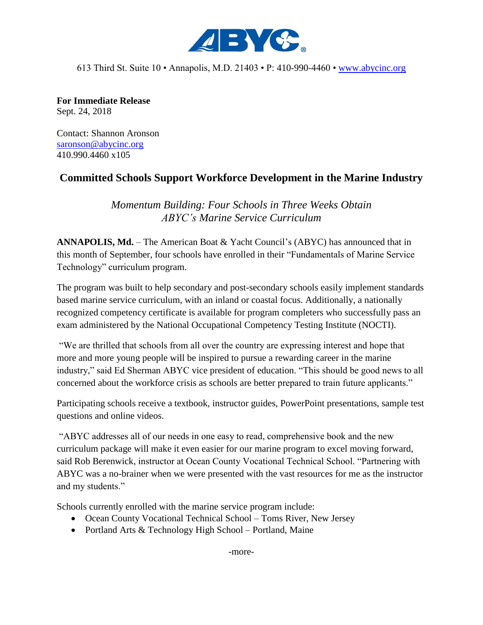

613 Third St. Suite 10 • Annapolis, M.D. 21403 • P: 410-990-4460 • [www.abycinc.org](http://www.abycinc.org/)

**For Immediate Release** Sept. 24, 2018

Contact: Shannon Aronson [saronson@abycinc.org](mailto:saronson@abycinc.org) 410.990.4460 x105

## **Committed Schools Support Workforce Development in the Marine Industry**

*Momentum Building: Four Schools in Three Weeks Obtain ABYC's Marine Service Curriculum*

**ANNAPOLIS, Md.** – The American Boat & Yacht Council's (ABYC) has announced that in this month of September, four schools have enrolled in their "Fundamentals of Marine Service Technology" curriculum program.

The program was built to help secondary and post-secondary schools easily implement standards based marine service curriculum, with an inland or coastal focus. Additionally, a nationally recognized competency certificate is available for program completers who successfully pass an exam administered by the National Occupational Competency Testing Institute (NOCTI).

"We are thrilled that schools from all over the country are expressing interest and hope that more and more young people will be inspired to pursue a rewarding career in the marine industry," said Ed Sherman ABYC vice president of education. "This should be good news to all concerned about the workforce crisis as schools are better prepared to train future applicants."

Participating schools receive a textbook, instructor guides, PowerPoint presentations, sample test questions and online videos.

"ABYC addresses all of our needs in one easy to read, comprehensive book and the new curriculum package will make it even easier for our marine program to excel moving forward, said Rob Berenwick, instructor at Ocean County Vocational Technical School. "Partnering with ABYC was a no-brainer when we were presented with the vast resources for me as the instructor and my students."

Schools currently enrolled with the marine service program include:

- Ocean County Vocational Technical School Toms River, New Jersey
- Portland Arts & Technology High School Portland, Maine